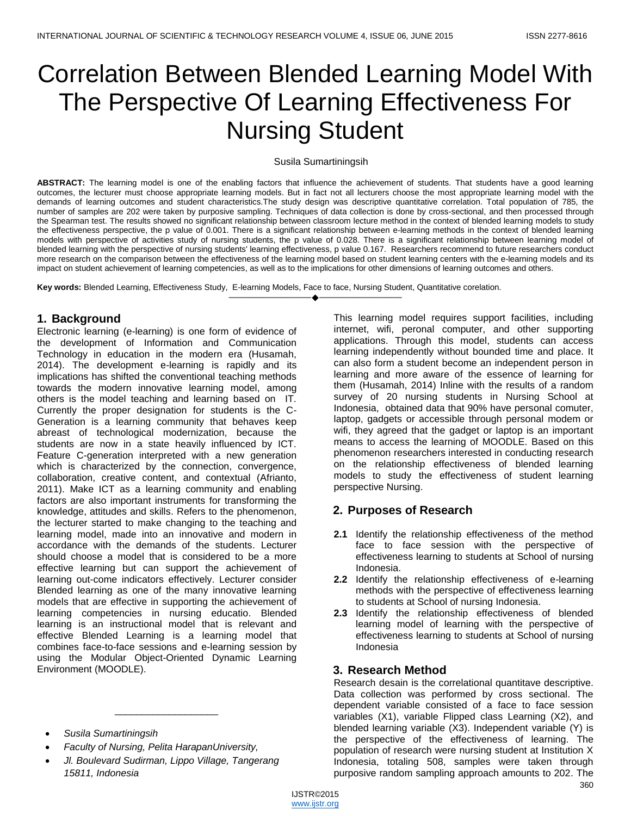# Correlation Between Blended Learning Model With The Perspective Of Learning Effectiveness For Nursing Student

#### Susila Sumartiningsih

**ABSTRACT:** The learning model is one of the enabling factors that influence the achievement of students. That students have a good learning outcomes, the lecturer must choose appropriate learning models. But in fact not all lecturers choose the most appropriate learning model with the demands of learning outcomes and student characteristics.The study design was descriptive quantitative correlation. Total population of 785, the number of samples are 202 were taken by purposive sampling. Techniques of data collection is done by cross-sectional, and then processed through the Spearman test. The results showed no significant relationship between classroom lecture method in the context of blended learning models to study the effectiveness perspective, the p value of 0.001. There is a significant relationship between e-learning methods in the context of blended learning models with perspective of activities study of nursing students, the p value of 0.028. There is a significant relationship between learning model of blended learning with the perspective of nursing students' learning effectiveness, p value 0.167. Researchers recommend to future researchers conduct more research on the comparison between the effectiveness of the learning model based on student learning centers with the e-learning models and its impact on student achievement of learning competencies, as well as to the implications for other dimensions of learning outcomes and others.

————————————————————

**Key words:** Blended Learning, Effectiveness Study, E-learning Models, Face to face, Nursing Student, Quantitative corelation.

# **1. Background**

Electronic learning (e-learning) is one form of evidence of the development of Information and Communication Technology in education in the modern era (Husamah, 2014). The development e-learning is rapidly and its implications has shifted the conventional teaching methods towards the modern innovative learning model, among others is the model teaching and learning based on IT. Currently the proper designation for students is the C-Generation is a learning community that behaves keep abreast of technological modernization, because the students are now in a state heavily influenced by ICT. Feature C-generation interpreted with a new generation which is characterized by the connection, convergence, collaboration, creative content, and contextual (Afrianto, 2011). Make ICT as a learning community and enabling factors are also important instruments for transforming the knowledge, attitudes and skills. Refers to the phenomenon, the lecturer started to make changing to the teaching and learning model, made into an innovative and modern in accordance with the demands of the students. Lecturer should choose a model that is considered to be a more effective learning but can support the achievement of learning out-come indicators effectively. Lecturer consider Blended learning as one of the many innovative learning models that are effective in supporting the achievement of learning competencies in nursing educatio. Blended learning is an instructional model that is relevant and effective Blended Learning is a learning model that combines face-to-face sessions and e-learning session by using the Modular Object-Oriented Dynamic Learning Environment (MOODLE).

- *Susila Sumartiningsih*
- *Faculty of Nursing, Pelita HarapanUniversity,*
- *Jl. Boulevard Sudirman, Lippo Village, Tangerang 15811, Indonesia*

\_\_\_\_\_\_\_\_\_\_\_\_\_\_\_\_\_\_\_

This learning model requires support facilities, including internet, wifi, peronal computer, and other supporting applications. Through this model, students can access learning independently without bounded time and place. It can also form a student become an independent person in learning and more aware of the essence of learning for them (Husamah, 2014) Inline with the results of a random survey of 20 nursing students in Nursing School at Indonesia, obtained data that 90% have personal comuter, laptop, gadgets or accessible through personal modem or wifi, they agreed that the gadget or laptop is an important means to access the learning of MOODLE. Based on this phenomenon researchers interested in conducting research on the relationship effectiveness of blended learning models to study the effectiveness of student learning perspective Nursing.

# **2. Purposes of Research**

- **2.1** Identify the relationship effectiveness of the method face to face session with the perspective of effectiveness learning to students at School of nursing Indonesia.
- **2.2** Identify the relationship effectiveness of e-learning methods with the perspective of effectiveness learning to students at School of nursing Indonesia.
- **2.3** Identify the relationship effectiveness of blended learning model of learning with the perspective of effectiveness learning to students at School of nursing Indonesia

#### **3. Research Method**

Research desain is the correlational quantitave descriptive. Data collection was performed by cross sectional. The dependent variable consisted of a face to face session variables (X1), variable Flipped class Learning (X2), and blended learning variable (X3). Independent variable (Y) is the perspective of the effectiveness of learning. The population of research were nursing student at Institution X Indonesia, totaling 508, samples were taken through purposive random sampling approach amounts to 202. The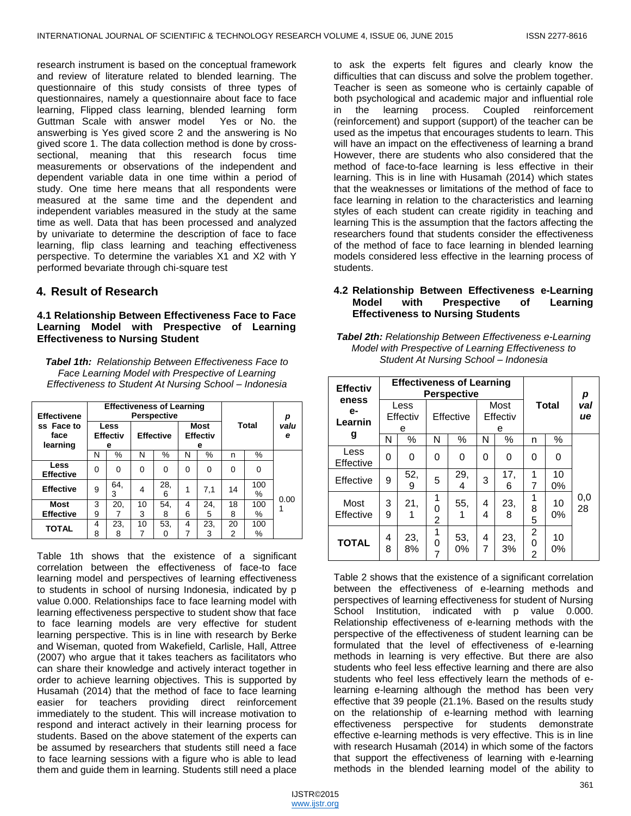research instrument is based on the conceptual framework and review of literature related to blended learning. The questionnaire of this study consists of three types of questionnaires, namely a questionnaire about face to face learning, Flipped class learning, blended learning form Guttman Scale with answer model Yes or No. the answerbing is Yes gived score 2 and the answering is No gived score 1. The data collection method is done by crosssectional, meaning that this research focus time measurements or observations of the independent and dependent variable data in one time within a period of study. One time here means that all respondents were measured at the same time and the dependent and independent variables measured in the study at the same time as well. Data that has been processed and analyzed by univariate to determine the description of face to face learning, flip class learning and teaching effectiveness perspective. To determine the variables X1 and X2 with Y performed bevariate through chi-square test

# **4. Result of Research**

#### **4.1 Relationship Between Effectiveness Face to Face Learning Model with Prespective of Learning Effectiveness to Nursing Student**

*Tabel 1th: Relationship Between Effectiveness Face to Face Learning Model with Prespective of Learning Effectiveness to Student At Nursing School – Indonesia*

| <b>Effectivene</b>             | <b>Effectiveness of Learning</b><br><b>Perspective</b> |          |                  |              |                                     |          |              |          |           |
|--------------------------------|--------------------------------------------------------|----------|------------------|--------------|-------------------------------------|----------|--------------|----------|-----------|
| ss Face to<br>face<br>learning | Less<br><b>Effectiv</b><br>е                           |          | <b>Effective</b> |              | <b>Most</b><br><b>Effectiv</b><br>е |          | <b>Total</b> |          | valu<br>е |
|                                | N                                                      | $\%$     | N                | $\%$         | N                                   | $\%$     | n            | %        |           |
| Less<br><b>Effective</b>       | 0                                                      | 0        | 0                | <sup>0</sup> | 0                                   | 0        | $\Omega$     | 0        |           |
| <b>Effective</b>               | 9                                                      | 64.<br>3 | 4                | 28.<br>6     | 1                                   | 7,1      | 14           | 100<br>% | 0.00      |
| <b>Most</b>                    | 3                                                      | 20,      | 10               | 54,          | 4                                   | 24,      | 18           | 100      |           |
| <b>Effective</b>               | 9                                                      |          | 3                | 8            | 6                                   | 5        | 8            | %        |           |
| <b>TOTAL</b>                   | 4<br>8                                                 | 23,<br>8 | 10<br>7          | 53,          | 4                                   | 23.<br>3 | 20<br>2      | 100<br>℅ |           |

Table 1th shows that the existence of a significant correlation between the effectiveness of face-to face learning model and perspectives of learning effectiveness to students in school of nursing Indonesia, indicated by p value 0.000. Relationships face to face learning model with learning effectiveness perspective to student show that face to face learning models are very effective for student learning perspective. This is in line with research by Berke and Wiseman, quoted from Wakefield, Carlisle, Hall, Attree (2007) who argue that it takes teachers as facilitators who can share their knowledge and actively interact together in order to achieve learning objectives. This is supported by Husamah (2014) that the method of face to face learning easier for teachers providing direct reinforcement immediately to the student. This will increase motivation to respond and interact actively in their learning process for students. Based on the above statement of the experts can be assumed by researchers that students still need a face to face learning sessions with a figure who is able to lead them and guide them in learning. Students still need a place

to ask the experts felt figures and clearly know the difficulties that can discuss and solve the problem together. Teacher is seen as someone who is certainly capable of both psychological and academic major and influential role in the learning process. Coupled reinforcement (reinforcement) and support (support) of the teacher can be used as the impetus that encourages students to learn. This will have an impact on the effectiveness of learning a brand However, there are students who also considered that the method of face-to-face learning is less effective in their learning. This is in line with Husamah (2014) which states that the weaknesses or limitations of the method of face to face learning in relation to the characteristics and learning styles of each student can create rigidity in teaching and learning This is the assumption that the factors affecting the researchers found that students consider the effectiveness of the method of face to face learning in blended learning models considered less effective in the learning process of students.

## **4.2 Relationship Between Effectiveness e-Learning Model with Prespective of Learning Effectiveness to Nursing Students**

*Tabel 2th: Relationship Between Effectiveness e-Learning Model with Prespective of Learning Effectiveness to Student At Nursing School – Indonesia*

| <b>Effectiv</b><br>eness<br>е-<br>Learnin<br>g | <b>Effectiveness of Learning</b><br><b>Perspective</b> |           |             |           |                       |           |                          |             |           |
|------------------------------------------------|--------------------------------------------------------|-----------|-------------|-----------|-----------------------|-----------|--------------------------|-------------|-----------|
|                                                | Less<br>Effectiv<br>е                                  |           | Effective   |           | Most<br>Effectiv<br>е |           | <b>Total</b>             |             | val<br>ue |
|                                                | N                                                      | %         | N           | %         | N                     | %         | n                        | %           |           |
| Less<br>Effective                              | 0                                                      | 0         | 0           | 0         | 0                     | 0         | 0                        | 0           |           |
| Effective                                      | 9                                                      | 52,<br>9  | 5           | 29,<br>4  | 3                     | 17,<br>6  | 1<br>7                   | 10<br>$0\%$ |           |
| Most<br>Effective                              | 3<br>9                                                 | 21.<br>1  | 1<br>0<br>2 | 55.       | 4<br>4                | 23,<br>8  | 1<br>8<br>5              | 10<br>0%    | 0,0<br>28 |
| <b>TOTAL</b>                                   | 4<br>8                                                 | 23,<br>8% | 1<br>0      | 53,<br>0% | 4<br>7                | 23,<br>3% | 2<br>0<br>$\overline{2}$ | 10<br>0%    |           |

Table 2 shows that the existence of a significant correlation between the effectiveness of e-learning methods and perspectives of learning effectiveness for student of Nursing School Institution, indicated with p value 0.000. Relationship effectiveness of e-learning methods with the perspective of the effectiveness of student learning can be formulated that the level of effectiveness of e-learning methods in learning is very effective. But there are also students who feel less effective learning and there are also students who feel less effectively learn the methods of elearning e-learning although the method has been very effective that 39 people (21.1%. Based on the results study on the relationship of e-learning method with learning effectiveness perspective for students demonstrate effective e-learning methods is very effective. This is in line with research Husamah (2014) in which some of the factors that support the effectiveness of learning with e-learning methods in the blended learning model of the ability to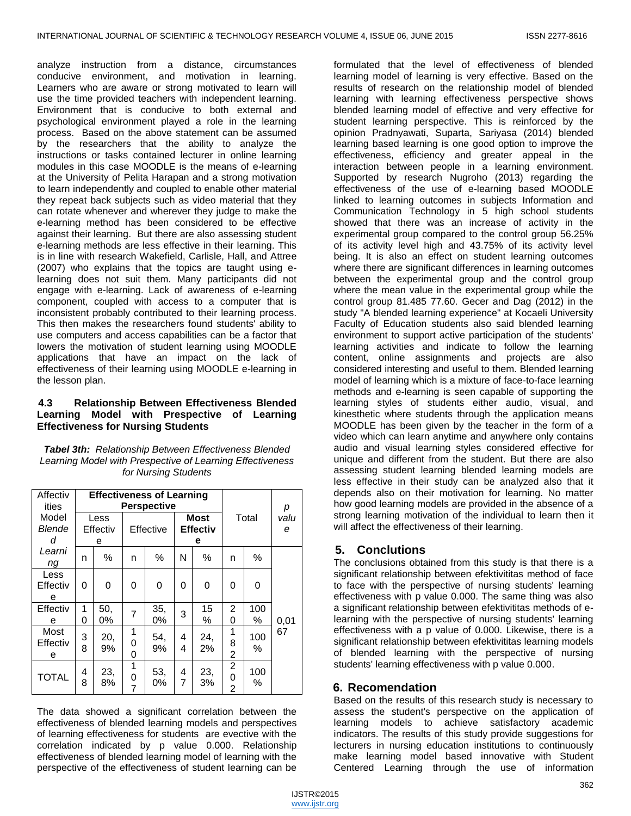analyze instruction from a distance, circumstances conducive environment, and motivation in learning. Learners who are aware or strong motivated to learn will use the time provided teachers with independent learning. Environment that is conducive to both external and psychological environment played a role in the learning process. Based on the above statement can be assumed by the researchers that the ability to analyze the instructions or tasks contained lecturer in online learning modules in this case MOODLE is the means of e-learning at the University of Pelita Harapan and a strong motivation to learn independently and coupled to enable other material they repeat back subjects such as video material that they can rotate whenever and wherever they judge to make the e-learning method has been considered to be effective against their learning. But there are also assessing student e-learning methods are less effective in their learning. This is in line with research Wakefield, Carlisle, Hall, and Attree (2007) who explains that the topics are taught using elearning does not suit them. Many participants did not engage with e-learning. Lack of awareness of e-learning component, coupled with access to a computer that is inconsistent probably contributed to their learning process. This then makes the researchers found students' ability to use computers and access capabilities can be a factor that lowers the motivation of student learning using MOODLE applications that have an impact on the lack of effectiveness of their learning using MOODLE e-learning in the lesson plan.

#### **4.3 Relationship Between Effectiveness Blended Learning Model with Prespective of Learning Effectiveness for Nursing Students**

*Tabel 3th: Relationship Between Effectiveness Blended Learning Model with Prespective of Learning Effectiveness for Nursing Students*

| Affectiv<br>ities     | <b>Effectiveness of Learning</b><br><b>Perspective</b> |           |                          |           |                              |           |                                       |          | р         |
|-----------------------|--------------------------------------------------------|-----------|--------------------------|-----------|------------------------------|-----------|---------------------------------------|----------|-----------|
| Model<br>Blende<br>d  | Less<br>Effectiv<br>е                                  |           | Effective                |           | Most<br><b>Effectiv</b><br>е |           | Total                                 |          | valu<br>e |
| Learni<br>ng          | n                                                      | %         | n                        | $\%$      | N                            | %         | n                                     | %        |           |
| Less<br>Effectiv<br>е | 0                                                      | 0         | 0                        | 0         | 0                            | 0         | 0                                     | 0        |           |
| Effectiv<br>e         | 1<br>0                                                 | 50,<br>0% | 7                        | 35,<br>0% | 3                            | 15<br>%   | 2<br>0                                | 100<br>% | 0,01      |
| Most<br>Effectiv<br>е | 3<br>8                                                 | 20,<br>9% | 1<br>0<br>0              | 54,<br>9% | 4<br>4                       | 24,<br>2% | 1<br>8<br>2                           | 100<br>% | 67        |
| <b>TOTAL</b>          | 4<br>8                                                 | 23,<br>8% | 1<br>0<br>$\overline{7}$ | 53,<br>0% | 4<br>7                       | 23,<br>3% | $\overline{c}$<br>0<br>$\overline{2}$ | 100<br>% |           |

The data showed a significant correlation between the effectiveness of blended learning models and perspectives of learning effectiveness for students are evective with the correlation indicated by p value 0.000. Relationship effectiveness of blended learning model of learning with the perspective of the effectiveness of student learning can be

formulated that the level of effectiveness of blended learning model of learning is very effective. Based on the results of research on the relationship model of blended learning with learning effectiveness perspective shows blended learning model of effective and very effective for student learning perspective. This is reinforced by the opinion Pradnyawati, Suparta, Sariyasa (2014) blended learning based learning is one good option to improve the effectiveness, efficiency and greater appeal in the interaction between people in a learning environment. Supported by research Nugroho (2013) regarding the effectiveness of the use of e-learning based MOODLE linked to learning outcomes in subjects Information and Communication Technology in 5 high school students showed that there was an increase of activity in the experimental group compared to the control group 56.25% of its activity level high and 43.75% of its activity level being. It is also an effect on student learning outcomes where there are significant differences in learning outcomes between the experimental group and the control group where the mean value in the experimental group while the control group 81.485 77.60. Gecer and Dag (2012) in the study "A blended learning experience" at Kocaeli University Faculty of Education students also said blended learning environment to support active participation of the students' learning activities and indicate to follow the learning content, online assignments and projects are also considered interesting and useful to them. Blended learning model of learning which is a mixture of face-to-face learning methods and e-learning is seen capable of supporting the learning styles of students either audio, visual, and kinesthetic where students through the application means MOODLE has been given by the teacher in the form of a video which can learn anytime and anywhere only contains audio and visual learning styles considered effective for unique and different from the student. But there are also assessing student learning blended learning models are less effective in their study can be analyzed also that it depends also on their motivation for learning. No matter how good learning models are provided in the absence of a strong learning motivation of the individual to learn then it will affect the effectiveness of their learning.

# **5. Conclutions**

The conclusions obtained from this study is that there is a significant relationship between efektivititas method of face to face with the perspective of nursing students' learning effectiveness with p value 0.000. The same thing was also a significant relationship between efektivititas methods of elearning with the perspective of nursing students' learning effectiveness with a p value of 0.000. Likewise, there is a significant relationship between efektivititas learning models of blended learning with the perspective of nursing students' learning effectiveness with p value 0.000.

# **6. Recomendation**

Based on the results of this research study is necessary to assess the student's perspective on the application of learning models to achieve satisfactory academic indicators. The results of this study provide suggestions for lecturers in nursing education institutions to continuously make learning model based innovative with Student Centered Learning through the use of information